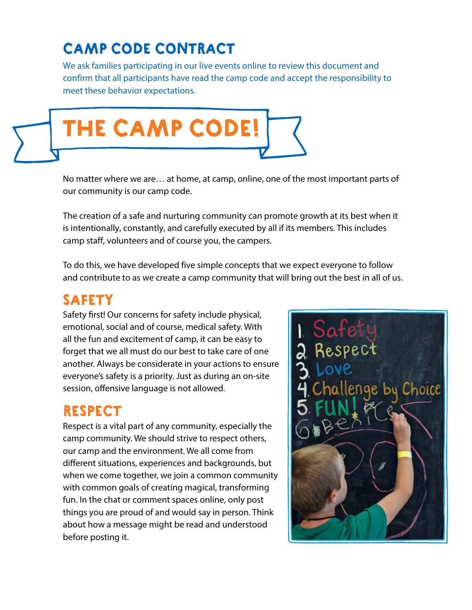## CAMP CODE CONTRACT

We ask families participating in our live events online to review this document and confirm that all participants have read the camp code and accept the responsibility to meet these behavior expectations.



No matter where we are… at home, at camp, online, one of the most important parts of our community is our camp code.

The creation of a safe and nurturing community can promote growth at its best when it is intentionally, constantly, and carefully executed by all if its members. This includes camp staff, volunteers and of course you, the campers.

To do this, we have developed five simple concepts that we expect everyone to follow and contribute to as we create a camp community that will bring out the best in all of us.

#### SAFETY

Safety first! Our concerns for safety include physical, emotional, social and of course, medical safety. With all the fun and excitement of camp, it can be easy to forget that we all must do our best to take care of one another. Always be considerate in your actions to ensure everyone's safety is a priority. Just as during an on-site session, offensive language is not allowed.

### RESPECT

Respect is a vital part of any community, especially the camp community. We should strive to respect others, our camp and the environment. We all come from different situations, experiences and backgrounds, but when we come together, we join a common community with common goals of creating magical, transforming fun. In the chat or comment spaces online, only post things you are proud of and would say in person. Think about how a message might be read and understood before posting it.